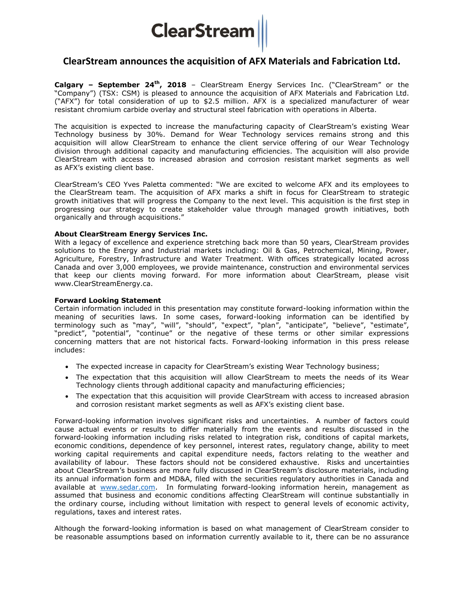

## **ClearStream announces the acquisition of AFX Materials and Fabrication Ltd.**

**Calgary – September 24th, 2018** – ClearStream Energy Services Inc. ("ClearStream" or the "Company") (TSX: CSM) is pleased to announce the acquisition of AFX Materials and Fabrication Ltd. ("AFX") for total consideration of up to \$2.5 million. AFX is a specialized manufacturer of wear resistant chromium carbide overlay and structural steel fabrication with operations in Alberta.

The acquisition is expected to increase the manufacturing capacity of ClearStream's existing Wear Technology business by 30%. Demand for Wear Technology services remains strong and this acquisition will allow ClearStream to enhance the client service offering of our Wear Technology division through additional capacity and manufacturing efficiencies. The acquisition will also provide ClearStream with access to increased abrasion and corrosion resistant market segments as well as AFX's existing client base.

ClearStream's CEO Yves Paletta commented: "We are excited to welcome AFX and its employees to the ClearStream team. The acquisition of AFX marks a shift in focus for ClearStream to strategic growth initiatives that will progress the Company to the next level. This acquisition is the first step in progressing our strategy to create stakeholder value through managed growth initiatives, both organically and through acquisitions."

## **About ClearStream Energy Services Inc.**

With a legacy of excellence and experience stretching back more than 50 years, ClearStream provides solutions to the Energy and Industrial markets including: Oil & Gas, Petrochemical, Mining, Power, Agriculture, Forestry, Infrastructure and Water Treatment. With offices strategically located across Canada and over 3,000 employees, we provide maintenance, construction and environmental services that keep our clients moving forward. For more information about ClearStream, please visit www.ClearStreamEnergy.ca.

## **Forward Looking Statement**

Certain information included in this presentation may constitute forward-looking information within the meaning of securities laws. In some cases, forward-looking information can be identified by terminology such as "may", "will", "should", "expect", "plan", "anticipate", "believe", "estimate", "predict", "potential", "continue" or the negative of these terms or other similar expressions concerning matters that are not historical facts. Forward-looking information in this press release includes:

- The expected increase in capacity for ClearStream's existing Wear Technology business;
- The expectation that this acquisition will allow ClearStream to meets the needs of its Wear Technology clients through additional capacity and manufacturing efficiencies;
- The expectation that this acquisition will provide ClearStream with access to increased abrasion and corrosion resistant market segments as well as AFX's existing client base.

Forward-looking information involves significant risks and uncertainties. A number of factors could cause actual events or results to differ materially from the events and results discussed in the forward-looking information including risks related to integration risk, conditions of capital markets, economic conditions, dependence of key personnel, interest rates, regulatory change, ability to meet working capital requirements and capital expenditure needs, factors relating to the weather and availability of labour. These factors should not be considered exhaustive. Risks and uncertainties about ClearStream's business are more fully discussed in ClearStream's disclosure materials, including its annual information form and MD&A, filed with the securities regulatory authorities in Canada and available at [www.sedar.com.](http://www.sedar.com/) In formulating forward-looking information herein, management as assumed that business and economic conditions affecting ClearStream will continue substantially in the ordinary course, including without limitation with respect to general levels of economic activity, regulations, taxes and interest rates.

Although the forward-looking information is based on what management of ClearStream consider to be reasonable assumptions based on information currently available to it, there can be no assurance